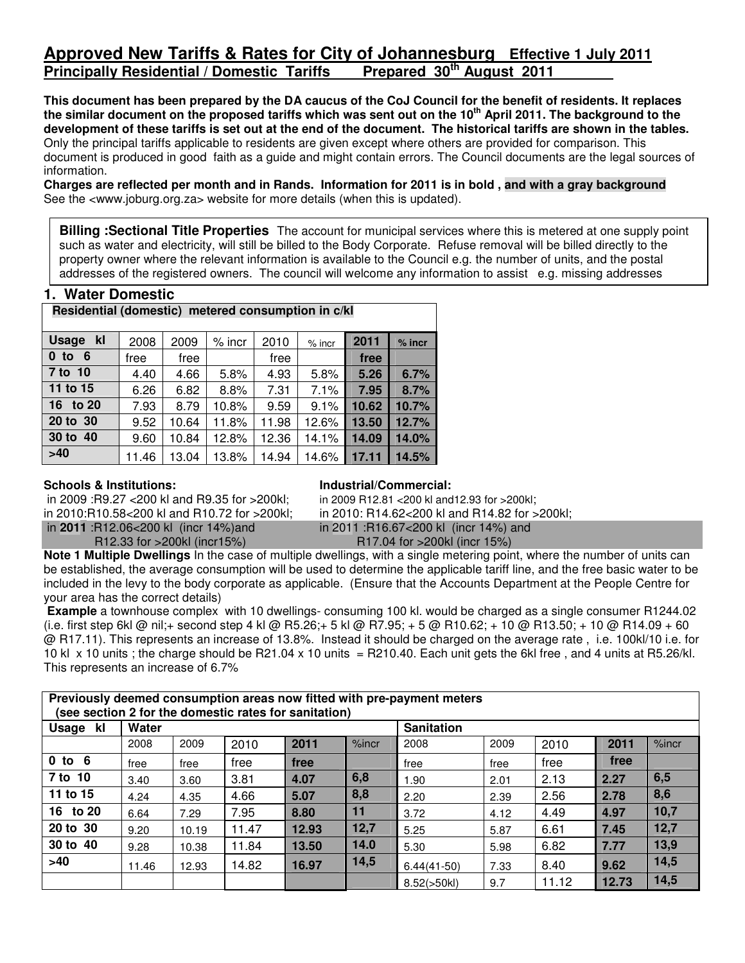# **Approved New Tariffs & Rates for City of Johannesburg Effective 1 July 2011 Principally Residential / Domestic Tariffs**

**This document has been prepared by the DA caucus of the CoJ Council for the benefit of residents. It replaces the similar document on the proposed tariffs which was sent out on the 10th April 2011. The background to the development of these tariffs is set out at the end of the document. The historical tariffs are shown in the tables.**  Only the principal tariffs applicable to residents are given except where others are provided for comparison. This document is produced in good faith as a guide and might contain errors. The Council documents are the legal sources of information.

**Charges are reflected per month and in Rands. Information for 2011 is in bold , and with a gray background**  See the <www.joburg.org.za> website for more details (when this is updated).

**Billing :Sectional Title Properties** The account for municipal services where this is metered at one supply point such as water and electricity, will still be billed to the Body Corporate. Refuse removal will be billed directly to the property owner where the relevant information is available to the Council e.g. the number of units, and the postal addresses of the registered owners. The council will welcome any information to assist e.g. missing addresses

## **1. Water Domestic**

| Residential (domestic) metered consumption in c/kl |       |       |          |       |          |       |          |  |  |  |  |  |
|----------------------------------------------------|-------|-------|----------|-------|----------|-------|----------|--|--|--|--|--|
| kl<br>Usage                                        | 2008  | 2009  | $%$ incr | 2010  | $%$ incr | 2011  | $%$ incr |  |  |  |  |  |
| $0$ to $6$                                         | free  | free  |          | free  |          | free  |          |  |  |  |  |  |
| 7 to 10                                            | 4.40  | 4.66  | 5.8%     | 4.93  | 5.8%     | 5.26  | 6.7%     |  |  |  |  |  |
| 11 to 15                                           | 6.26  | 6.82  | 8.8%     | 7.31  | 7.1%     | 7.95  | 8.7%     |  |  |  |  |  |
| 16 to 20                                           | 7.93  | 8.79  | 10.8%    | 9.59  | 9.1%     | 10.62 | 10.7%    |  |  |  |  |  |
| 20 to 30                                           | 9.52  | 10.64 | 11.8%    | 11.98 | 12.6%    | 13.50 | 12.7%    |  |  |  |  |  |
| 30 to 40                                           | 9.60  | 10.84 | 12.8%    | 12.36 | 14.1%    | 14.09 | 14.0%    |  |  |  |  |  |
| >40                                                | 11.46 | 13.04 | 13.8%    | 14.94 | 14.6%    | 17.11 | 14.5%    |  |  |  |  |  |

### **Schools & Institutions:**

in 2009 :R9.27 <200 kl and R9.35 for >200kl; in 2010:R10.58<200 kl and R10.72 for >200kl; in **2011** :R12.06<200 kl (incr 14%)and

R12.33 for >200kl (incr15%)

### **Industrial/Commercial:**

in 2009 R12.81 <200 kl and12.93 for >200kl; in 2010: R14.62<200 kl and R14.82 for >200kl; in 2011 :R16.67<200 kl (incr 14%) and

R17.04 for >200kl (incr 15%)

**Note 1 Multiple Dwellings** In the case of multiple dwellings, with a single metering point, where the number of units can be established, the average consumption will be used to determine the applicable tariff line, and the free basic water to be included in the levy to the body corporate as applicable. (Ensure that the Accounts Department at the People Centre for your area has the correct details)

 **Example** a townhouse complex with 10 dwellings- consuming 100 kl. would be charged as a single consumer R1244.02 (i.e. first step 6kl @ nil;+ second step 4 kl @ R5.26;+ 5 kl @ R7.95; + 5 @ R10.62; + 10 @ R13.50; + 10 @ R14.09 + 60 @ R17.11). This represents an increase of 13.8%. Instead it should be charged on the average rate , i.e. 100kl/10 i.e. for 10 kl  $\times$  10 units ; the charge should be R21.04  $\times$  10 units = R210.40. Each unit gets the 6kl free, and 4 units at R5.26/kl. This represents an increase of 6.7%

## **Previously deemed consumption areas now fitted with pre-payment meters (see section 2 for the domestic rates for sanitation)**

| $\sim$<br>Usage<br>kl | Water |       |       |       |       | <b>Sanitation</b> |      |       |       |       |
|-----------------------|-------|-------|-------|-------|-------|-------------------|------|-------|-------|-------|
|                       | 2008  | 2009  | 2010  | 2011  | %incr | 2008              | 2009 | 2010  | 2011  | %incr |
| $0$ to $6$            | free  | free  | free  | free  |       | free              | free | free  | free  |       |
| 7 to 10               | 3.40  | 3.60  | 3.81  | 4.07  | 6,8   | 1.90              | 2.01 | 2.13  | 2.27  | 6, 5  |
| 11 to 15              | 4.24  | 4.35  | 4.66  | 5.07  | 8,8   | 2.20              | 2.39 | 2.56  | 2.78  | 8,6   |
| 16 to 20              | 6.64  | 7.29  | 7.95  | 8.80  | 11    | 3.72              | 4.12 | 4.49  | 4.97  | 10,7  |
| 20 to 30              | 9.20  | 10.19 | 11.47 | 12.93 | 12,7  | 5.25              | 5.87 | 6.61  | 7.45  | 12,7  |
| 30 to 40              | 9.28  | 10.38 | 11.84 | 13.50 | 14.0  | 5.30              | 5.98 | 6.82  | 7.77  | 13,9  |
| >40                   | 11.46 | 12.93 | 14.82 | 16.97 | 14,5  | $6.44(41-50)$     | 7.33 | 8.40  | 9.62  | 14,5  |
|                       |       |       |       |       |       | 8.52(>50kl)       | 9.7  | 11.12 | 12.73 | 14,5  |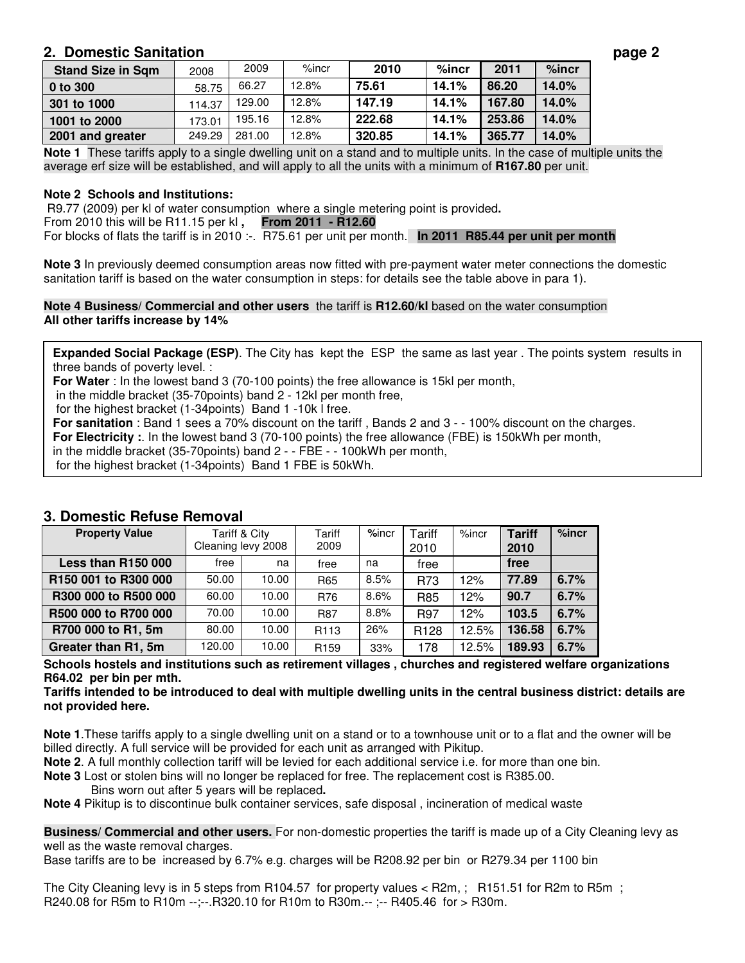# **2. Domestic Sanitation page 2**

| <b>Stand Size in Sqm</b> | 2008   | 2009   | $%$ incr | 2010   | $%$ incr | 2011   | $%$ incr |
|--------------------------|--------|--------|----------|--------|----------|--------|----------|
| 0 to 300                 | 58.75  | 66.27  | 12.8%    | 75.61  | 14.1%    | 86.20  | 14.0%    |
| 301 to 1000              | 114.37 | 129.00 | 12.8%    | 147.19 | 14.1%    | 167.80 | 14.0%    |
| 1001 to 2000             | 173.01 | 195.16 | 12.8%    | 222.68 | 14.1%    | 253.86 | 14.0%    |
| 2001 and greater         | 249.29 | 281.00 | 12.8%    | 320.85 | 14.1%    | 365.77 | 14.0%    |

**Note 1** These tariffs apply to a single dwelling unit on a stand and to multiple units. In the case of multiple units the average erf size will be established, and will apply to all the units with a minimum of **R167.80** per unit.

## **Note 2 Schools and Institutions:**

R9.77 (2009) per kl of water consumption where a single metering point is provided**.**  From 2010 this will be R11.15 per kl **, From 2011 - R12.60**  For blocks of flats the tariff is in 2010 :-. R75.61 per unit per month. **In 2011 R85.44 per unit per month**

**Note 3** In previously deemed consumption areas now fitted with pre-payment water meter connections the domestic sanitation tariff is based on the water consumption in steps: for details see the table above in para 1).

### **Note 4 Business/ Commercial and other users** the tariff is **R12.60/kl** based on the water consumption **All other tariffs increase by 14%**

**Expanded Social Package (ESP)**. The City has kept the ESP the same as last year . The points system results in three bands of poverty level. :

**For Water** : In the lowest band 3 (70-100 points) the free allowance is 15kl per month,

in the middle bracket (35-70points) band 2 - 12kl per month free,

for the highest bracket (1-34points) Band 1 -10k l free.

**For sanitation** : Band 1 sees a 70% discount on the tariff , Bands 2 and 3 - - 100% discount on the charges. **For Electricity :**. In the lowest band 3 (70-100 points) the free allowance (FBE) is 150kWh per month,

in the middle bracket (35-70points) band 2 - - FBE - - 100kWh per month,

for the highest bracket (1-34points) Band 1 FBE is 50kWh.

| <b>Property Value</b> | Cleaning levy 2008 | Tariff & City | Tariff<br>2009   | $%$ incr | Tariff<br>2010   | $%$ incr | <b>Tariff</b><br>2010 | %incr |
|-----------------------|--------------------|---------------|------------------|----------|------------------|----------|-----------------------|-------|
| Less than R150 000    | free               | na            | free             | na       | free             |          | free                  |       |
| R150 001 to R300 000  | 50.00              | 10.00         | R65              | 8.5%     | R73              | 12%      | 77.89                 | 6.7%  |
| R300 000 to R500 000  | 60.00              | 10.00         | R76              | 8.6%     | R85              | 12%      | 90.7                  | 6.7%  |
| R500 000 to R700 000  | 70.00              | 10.00         | <b>R87</b>       | 8.8%     | R97              | 12%      | 103.5                 | 6.7%  |
| R700 000 to R1, 5m    | 80.00              | 10.00         | R <sub>113</sub> | 26%      | R <sub>128</sub> | 12.5%    | 136.58                | 6.7%  |
| Greater than R1, 5m   | 120.00             | 10.00         | R <sub>159</sub> | 33%      | 178              | 12.5%    | 189.93                | 6.7%  |

## **3. Domestic Refuse Removal**

**Schools hostels and institutions such as retirement villages , churches and registered welfare organizations R64.02 per bin per mth.** 

**Tariffs intended to be introduced to deal with multiple dwelling units in the central business district: details are not provided here.** 

**Note 1**.These tariffs apply to a single dwelling unit on a stand or to a townhouse unit or to a flat and the owner will be billed directly. A full service will be provided for each unit as arranged with Pikitup.

- **Note 2**. A full monthly collection tariff will be levied for each additional service i.e. for more than one bin.
- **Note 3** Lost or stolen bins will no longer be replaced for free. The replacement cost is R385.00.
	- Bins worn out after 5 years will be replaced**.**

**Note 4** Pikitup is to discontinue bulk container services, safe disposal , incineration of medical waste

**Business/ Commercial and other users.** For non-domestic properties the tariff is made up of a City Cleaning levy as well as the waste removal charges.

Base tariffs are to be increased by 6.7% e.g. charges will be R208.92 per bin or R279.34 per 1100 bin

The City Cleaning levy is in 5 steps from R104.57 for property values < R2m, ; R151.51 for R2m to R5m ; R240.08 for R5m to R10m --;--.R320.10 for R10m to R30m.-- ;-- R405.46 for > R30m.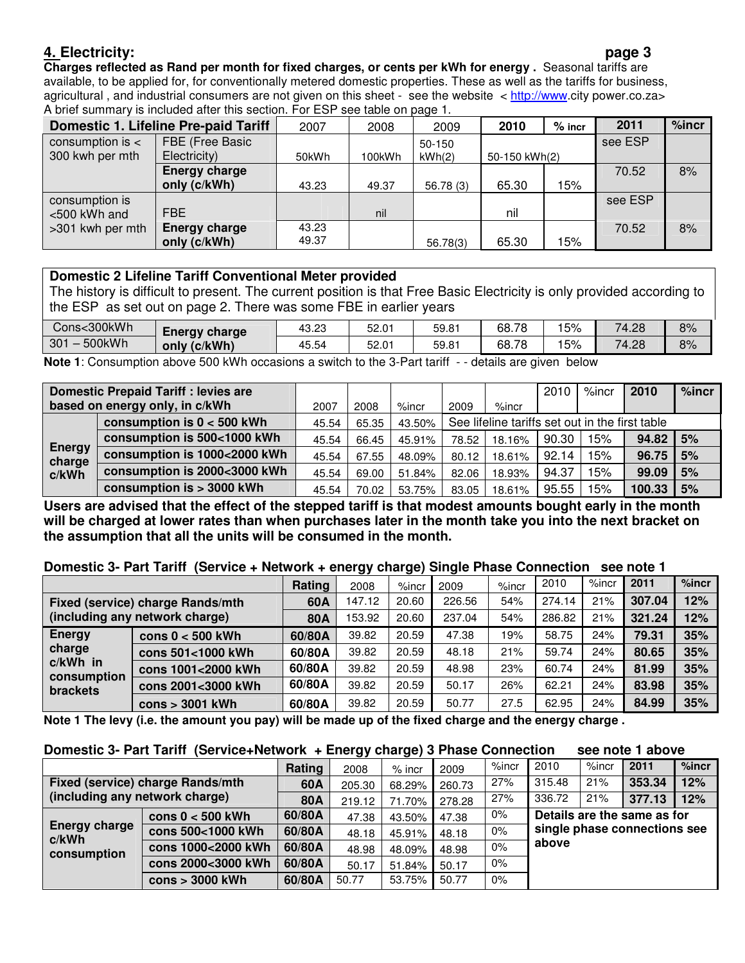# **4. Electricity: page 3**

**Charges reflected as Rand per month for fixed charges, or cents per kWh for energy .** Seasonal tariffs are available, to be applied for, for conventionally metered domestic properties. These as well as the tariffs for business, agricultural, and industrial consumers are not given on this sheet - see the website  $\lt$  http://www.city power.co.za> A brief summary is included after this section. For ESP see table on page 1.

|                      | <b>Domestic 1. Lifeline Pre-paid Tariff</b> | 2007  | 2008   | 2009     | 2010          | $%$ incr | 2011    | %incr |  |  |  |
|----------------------|---------------------------------------------|-------|--------|----------|---------------|----------|---------|-------|--|--|--|
| consumption is $\lt$ | FBE (Free Basic                             |       |        | 50-150   |               |          |         |       |  |  |  |
| 300 kwh per mth      | Electricity)                                | 50kWh | 100kWh | kWh(2)   | 50-150 kWh(2) |          |         |       |  |  |  |
|                      | <b>Energy charge</b>                        |       |        |          |               |          | 70.52   | 8%    |  |  |  |
|                      | only (c/kWh)                                | 43.23 | 49.37  | 56.78(3) | 65.30         | 15%      |         |       |  |  |  |
| consumption is       |                                             |       |        |          |               |          | see ESP |       |  |  |  |
| <500 kWh and         | <b>FBE</b>                                  |       | nil    |          | nil           |          |         |       |  |  |  |
| >301 kwh per mth     | <b>Energy charge</b>                        | 43.23 |        |          |               |          | 70.52   | 8%    |  |  |  |
|                      | only (c/kWh)                                | 49.37 |        | 56.78(3) | 65.30         | 15%      |         |       |  |  |  |

# **Domestic 2 Lifeline Tariff Conventional Meter provided**

The history is difficult to present. The current position is that Free Basic Electricity is only provided according to the ESP as set out on page 2. There was some FBE in earlier years

| Cons<300kWh   | <b>Energy charge</b> | 43.23 | 52.01 | 59.81 | 68.78 | 15% | 74.28 | 8% |
|---------------|----------------------|-------|-------|-------|-------|-----|-------|----|
| 500kWh<br>301 | (c/kWh)<br>onlv      | 45.54 | 52.01 | 59.81 | 68.78 | 15% | 74.28 | 8% |
| .             | $-0.0111$            |       | .     |       |       |     |       |    |

**Note 1**: Consumption above 500 kWh occasions a switch to the 3-Part tariff - - details are given below

| <b>Domestic Prepaid Tariff: levies are</b> |                                |       |       |          |                                                 | 2010     | $%$ incr | 2010 | %incr  |    |
|--------------------------------------------|--------------------------------|-------|-------|----------|-------------------------------------------------|----------|----------|------|--------|----|
|                                            | based on energy only, in c/kWh | 2007  | 2008  | $%$ incr | 2009                                            | $%$ incr |          |      |        |    |
|                                            | consumption is $0 < 500$ kWh   | 45.54 | 65.35 | 43.50%   | See lifeline tariffs set out in the first table |          |          |      |        |    |
| <b>Energy</b><br>charge                    | consumption is 500<1000 kWh    | 45.54 | 66.45 | 45.91%   | 78.52                                           | 18.16%   | 90.30    | 15%  | 94.82  | 5% |
|                                            | consumption is 1000<2000 kWh   | 45.54 | 67.55 | 48.09%   | 80.12                                           | 18.61%   | 92.14    | 15%  | 96.75  | 5% |
| c/kWh                                      | consumption is 2000<3000 kWh   | 45.54 | 69.00 | 51.84%   | 82.06                                           | 18.93%   | 94.37    | 5%   | 99.09  | 5% |
|                                            | consumption is > 3000 kWh      | 45.54 | 70.02 | 53.75%   | 83.05                                           | 18.61%   | 95.55    | 5%   | 100.33 | 5% |

**Users are advised that the effect of the stepped tariff is that modest amounts bought early in the month will be charged at lower rates than when purchases later in the month take you into the next bracket on the assumption that all the units will be consumed in the month.** 

## **Domestic 3- Part Tariff (Service + Network + energy charge) Single Phase Connection see note 1**

|                                                                  |                    | Rating     | 2008   | $%$ incr | 2009   | $%$ incr | 2010   | $%$ incr | 2011   | %incr |
|------------------------------------------------------------------|--------------------|------------|--------|----------|--------|----------|--------|----------|--------|-------|
| Fixed (service) charge Rands/mth                                 | 60A                | 147.12     | 20.60  | 226.56   | 54%    | 274.14   | 21%    | 307.04   | 12%    |       |
| (including any network charge)                                   |                    | <b>80A</b> | 153.92 | 20.60    | 237.04 | 54%      | 286.82 | 21%      | 321.24 | 12%   |
| <b>Energy</b><br>charge<br>$c/kWh$ in<br>consumption<br>brackets | cons $0 < 500$ kWh | 60/80A     | 39.82  | 20.59    | 47.38  | 19%      | 58.75  | 24%      | 79.31  | 35%   |
|                                                                  | cons 501<1000 kWh  | 60/80A     | 39.82  | 20.59    | 48.18  | 21%      | 59.74  | 24%      | 80.65  | 35%   |
|                                                                  | cons 1001<2000 kWh | 60/80A     | 39.82  | 20.59    | 48.98  | 23%      | 60.74  | 24%      | 81.99  | 35%   |
|                                                                  | cons 2001<3000 kWh | 60/80A     | 39.82  | 20.59    | 50.17  | 26%      | 62.21  | 24%      | 83.98  | 35%   |
|                                                                  | $cons > 3001$ kWh  | 60/80A     | 39.82  | 20.59    | 50.77  | 27.5     | 62.95  | 24%      | 84.99  | 35%   |

**Note 1 The levy (i.e. the amount you pay) will be made up of the fixed charge and the energy charge .**

# **Domestic 3- Part Tariff (Service+Network + Energy charge) 3 Phase Connection see note 1 above**

|                                              |                                  | Rating | --<br>2008 | $%$ incr | 2009   | $%$ incr | 2010                                                        | $%$ incr | 2011   | %incr |  |
|----------------------------------------------|----------------------------------|--------|------------|----------|--------|----------|-------------------------------------------------------------|----------|--------|-------|--|
|                                              | Fixed (service) charge Rands/mth | 60A    | 205.30     | 68.29%   | 260.73 | 27%      | 315.48                                                      | 21%      | 353.34 | 12%   |  |
| (including any network charge)               |                                  | 80A    | 219.12     | 71.70%   | 278.28 | 27%      | 336.72                                                      | 21%      | 377.13 | 12%   |  |
| <b>Energy charge</b><br>c/kWh<br>consumption | cons $0 < 500$ kWh               | 60/80A | 47.38      | 43.50%   | 47.38  | $0\%$    | Details are the same as for<br>single phase connections see |          |        |       |  |
|                                              | cons 500<1000 kWh                | 60/80A | 48.18      | 45.91%   | 48.18  | $0\%$    |                                                             |          |        |       |  |
|                                              | cons 1000<2000 kWh               | 60/80A | 48.98      | 48.09%   | 48.98  | $0\%$    | above                                                       |          |        |       |  |
|                                              | cons 2000<3000 kWh               | 60/80A | 50.17      | 51.84%   | 50.17  | $0\%$    |                                                             |          |        |       |  |
|                                              | $cons > 3000$ kWh                | 60/80A | 50.77      | 53.75%   | 50.77  | $0\%$    |                                                             |          |        |       |  |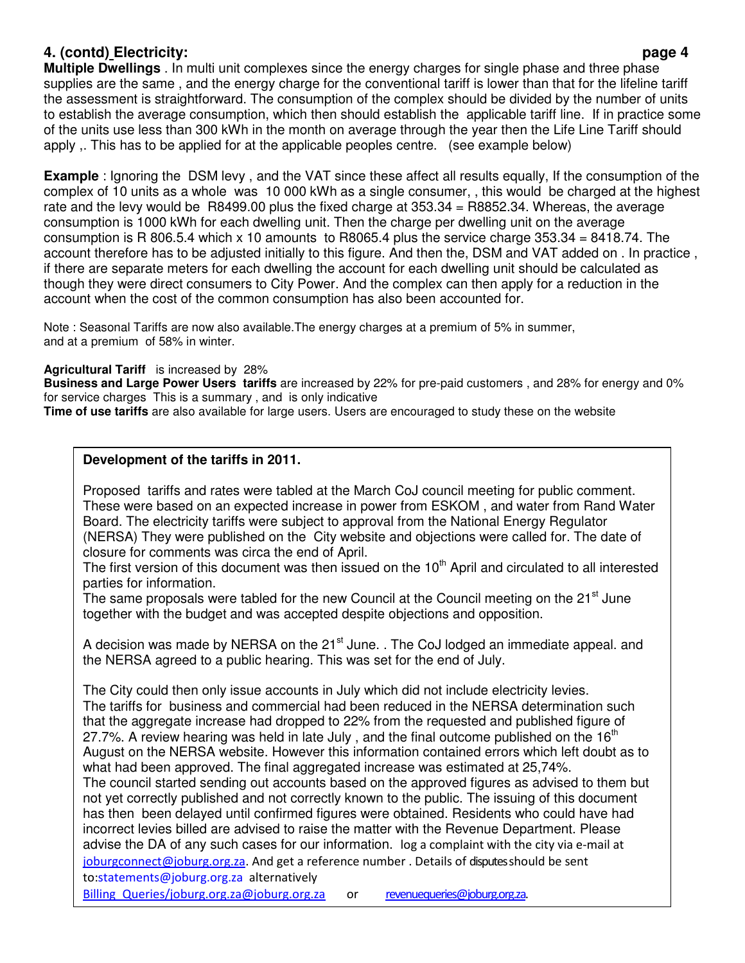# **4. (contd) Electricity: page 4**

**Multiple Dwellings** . In multi unit complexes since the energy charges for single phase and three phase supplies are the same , and the energy charge for the conventional tariff is lower than that for the lifeline tariff the assessment is straightforward. The consumption of the complex should be divided by the number of units to establish the average consumption, which then should establish the applicable tariff line. If in practice some of the units use less than 300 kWh in the month on average through the year then the Life Line Tariff should apply ,. This has to be applied for at the applicable peoples centre. (see example below)

**Example** : Ignoring the DSM levy , and the VAT since these affect all results equally, If the consumption of the complex of 10 units as a whole was 10 000 kWh as a single consumer, , this would be charged at the highest rate and the levy would be R8499.00 plus the fixed charge at 353.34 = R8852.34. Whereas, the average consumption is 1000 kWh for each dwelling unit. Then the charge per dwelling unit on the average consumption is R 806.5.4 which x 10 amounts to R8065.4 plus the service charge 353.34 = 8418.74. The account therefore has to be adjusted initially to this figure. And then the, DSM and VAT added on . In practice , if there are separate meters for each dwelling the account for each dwelling unit should be calculated as though they were direct consumers to City Power. And the complex can then apply for a reduction in the account when the cost of the common consumption has also been accounted for.

Note : Seasonal Tariffs are now also available.The energy charges at a premium of 5% in summer, and at a premium of 58% in winter.

**Agricultural Tariff** is increased by 28%

**Business and Large Power Users tariffs** are increased by 22% for pre-paid customers , and 28% for energy and 0% for service charges This is a summary , and is only indicative

**Time of use tariffs** are also available for large users. Users are encouraged to study these on the website

# **Development of the tariffs in 2011.**

Proposed tariffs and rates were tabled at the March CoJ council meeting for public comment. These were based on an expected increase in power from ESKOM , and water from Rand Water Board. The electricity tariffs were subject to approval from the National Energy Regulator (NERSA) They were published on the City website and objections were called for. The date of closure for comments was circa the end of April.

The first version of this document was then issued on the 10<sup>th</sup> April and circulated to all interested parties for information.

The same proposals were tabled for the new Council at the Council meeting on the  $21<sup>st</sup>$  June together with the budget and was accepted despite objections and opposition.

A decision was made by NERSA on the  $21<sup>st</sup>$  June. . The CoJ lodged an immediate appeal. and the NERSA agreed to a public hearing. This was set for the end of July.

The City could then only issue accounts in July which did not include electricity levies. The tariffs for business and commercial had been reduced in the NERSA determination such that the aggregate increase had dropped to 22% from the requested and published figure of 27.7%. A review hearing was held in late July, and the final outcome published on the  $16<sup>th</sup>$ August on the NERSA website. However this information contained errors which left doubt as to what had been approved. The final aggregated increase was estimated at 25,74%. The council started sending out accounts based on the approved figures as advised to them but not yet correctly published and not correctly known to the public. The issuing of this document has then been delayed until confirmed figures were obtained. Residents who could have had incorrect levies billed are advised to raise the matter with the Revenue Department. Please

advise the DA of any such cases for our information. log a complaint with the city via e-mail at joburgconnect@joburg.org.za. And get a reference number . Details of disputes should be sent to:statements@joburg.org.za alternatively

Billing Queries/joburg.org.za@joburg.org.za or revenuequeries@joburg.org.za.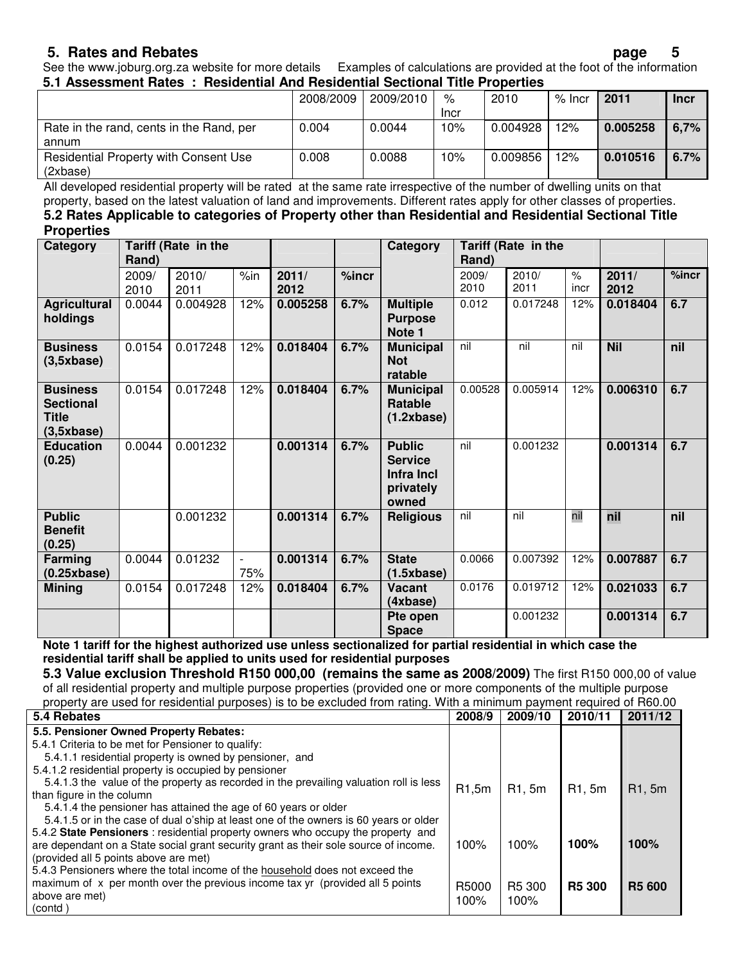# **5. Rates and Rebates page 5**

See the www.joburg.org.za website for more details Examples of calculations are provided at the foot of the information **5.1 Assessment Rates : Residential And Residential Sectional Title Properties** 

| <u>o. LABJUJJIIIUIII HUUJI - TIUJIUUHIIUI AIIU HUJIUUHIIUI UUUHUHUI TIIIU TTUMUHUJ</u> |           |           |             |          |          |          |             |
|----------------------------------------------------------------------------------------|-----------|-----------|-------------|----------|----------|----------|-------------|
|                                                                                        | 2008/2009 | 2009/2010 | %           | 2010     | $%$ Incr | 2011     | <b>Incr</b> |
|                                                                                        |           |           | <b>Incr</b> |          |          |          |             |
| Rate in the rand, cents in the Rand, per                                               | 0.004     | 0.0044    | 10%         | 0.004928 | 12%      | 0.005258 | 6,7%        |
| annum                                                                                  |           |           |             |          |          |          |             |
| <b>Residential Property with Consent Use</b>                                           | 0.008     | 0.0088    | 10%         | 0.009856 | 12%      | 0.010516 | 6.7%        |
| (2xbase)                                                                               |           |           |             |          |          |          |             |

All developed residential property will be rated at the same rate irrespective of the number of dwelling units on that property, based on the latest valuation of land and improvements. Different rates apply for other classes of properties.

### **5.2 Rates Applicable to categories of Property other than Residential and Residential Sectional Title Properties**

| . <b>.</b><br>Category                                            | Rand)         | Tariff (Rate in the |                                 |               |       | Category                                                            | Rand)         | Tariff (Rate in the |              |               |          |
|-------------------------------------------------------------------|---------------|---------------------|---------------------------------|---------------|-------|---------------------------------------------------------------------|---------------|---------------------|--------------|---------------|----------|
|                                                                   | 2009/<br>2010 | 2010/<br>2011       | %in                             | 2011/<br>2012 | %incr |                                                                     | 2009/<br>2010 | 2010/<br>2011       | $\%$<br>incr | 2011/<br>2012 | $%$ incr |
| <b>Agricultural</b><br>holdings                                   | 0.0044        | 0.004928            | 12%                             | 0.005258      | 6.7%  | <b>Multiple</b><br><b>Purpose</b><br>Note 1                         | 0.012         | 0.017248            | 12%          | 0.018404      | 6.7      |
| <b>Business</b><br>(3,5xbase)                                     | 0.0154        | 0.017248            | 12%                             | 0.018404      | 6.7%  | <b>Municipal</b><br><b>Not</b><br>ratable                           | nil           | nil                 | nil          | <b>Nil</b>    | nil      |
| <b>Business</b><br><b>Sectional</b><br><b>Title</b><br>(3,5xbase) | 0.0154        | 0.017248            | 12%                             | 0.018404      | 6.7%  | <b>Municipal</b><br>Ratable<br>(1.2xbase)                           | 0.00528       | 0.005914            | 12%          | 0.006310      | 6.7      |
| <b>Education</b><br>(0.25)                                        | 0.0044        | 0.001232            |                                 | 0.001314      | 6.7%  | <b>Public</b><br><b>Service</b><br>Infra Incl<br>privately<br>owned | nil           | 0.001232            |              | 0.001314      | 6.7      |
| <b>Public</b><br><b>Benefit</b><br>(0.25)                         |               | 0.001232            |                                 | 0.001314      | 6.7%  | <b>Religious</b>                                                    | nil           | nil                 | nil          | nil           | nil      |
| Farming<br>(0.25xbase)                                            | 0.0044        | 0.01232             | $\overline{\phantom{a}}$<br>75% | 0.001314      | 6.7%  | <b>State</b><br>(1.5xbase)                                          | 0.0066        | 0.007392            | 12%          | 0.007887      | 6.7      |
| <b>Mining</b>                                                     | 0.0154        | 0.017248            | 12%                             | 0.018404      | 6.7%  | <b>Vacant</b><br>(4xbase)                                           | 0.0176        | 0.019712            | 12%          | 0.021033      | 6.7      |
|                                                                   |               |                     |                                 |               |       | Pte open<br><b>Space</b>                                            |               | 0.001232            |              | 0.001314      | 6.7      |

**Note 1 tariff for the highest authorized use unless sectionalized for partial residential in which case the residential tariff shall be applied to units used for residential purposes** 

**5.3 Value exclusion Threshold R150 000,00 (remains the same as 2008/2009)** The first R150 000,00 of value of all residential property and multiple purpose properties (provided one or more components of the multiple purpose property are used for residential purposes) is to be excluded from rating. With a minimum payment required of R60.00

| property are used for residential purposes) is to be excluded from rating. With a minimum payment required or noo |        |                    |                    |               |
|-------------------------------------------------------------------------------------------------------------------|--------|--------------------|--------------------|---------------|
| 5.4 Rebates                                                                                                       | 2008/9 | 2009/10            | 2010/11            | 2011/12       |
| 5.5. Pensioner Owned Property Rebates:                                                                            |        |                    |                    |               |
| 5.4.1 Criteria to be met for Pensioner to qualify:                                                                |        |                    |                    |               |
| 5.4.1.1 residential property is owned by pensioner, and                                                           |        |                    |                    |               |
| 5.4.1.2 residential property is occupied by pensioner                                                             |        |                    |                    |               |
| 5.4.1.3 the value of the property as recorded in the prevailing valuation roll is less                            | R1,5m  | R1, 5m             | R <sub>1</sub> .5m | R1, 5m        |
| than figure in the column                                                                                         |        |                    |                    |               |
| 5.4.1.4 the pensioner has attained the age of 60 years or older                                                   |        |                    |                    |               |
| 5.4.1.5 or in the case of dual o'ship at least one of the owners is 60 years or older                             |        |                    |                    |               |
| 5.4.2 State Pensioners : residential property owners who occupy the property and                                  |        |                    |                    |               |
| are dependant on a State social grant security grant as their sole source of income.                              | 100%   | 100%               | 100%               | 100%          |
| (provided all 5 points above are met)                                                                             |        |                    |                    |               |
| 5.4.3 Pensioners where the total income of the household does not exceed the                                      |        |                    |                    |               |
| maximum of x per month over the previous income tax yr (provided all 5 points                                     | R5000  | R <sub>5</sub> 300 | <b>R5 300</b>      | <b>R5 600</b> |
| above are met)                                                                                                    | 100%   | 100%               |                    |               |
| (contd)                                                                                                           |        |                    |                    |               |